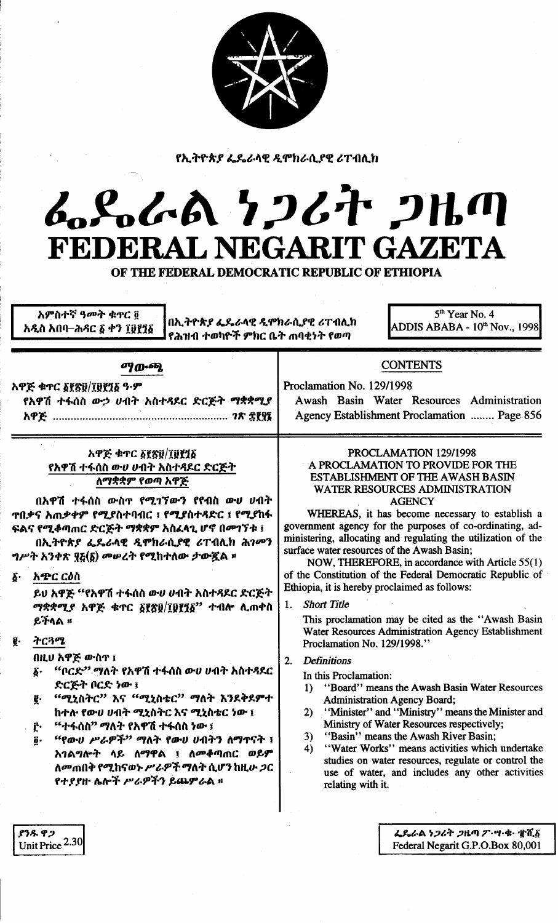|  |  | r. |
|--|--|----|
|  |  |    |

የኢትዮጵያ ፌዴራላዊ ዲሞክራሲያዊ ሪፐብሊክ

# んぺんへん クンムヤ クルの FEDERAL NEGARIT GAZETA

OF THE FEDERAL DEMOCRATIC REPUBLIC OF ETHIOPIA

| አምስተኛ ዓ <b>መት ቁ</b> ተር ፬ | በኢትዮጵያ ፌዴራላዊ ዲሞክራሲያዊ ሪፐብሊክ  | $5th$ Year No. 4               |
|--------------------------|-----------------------------|--------------------------------|
| አዲስ አበባ–ሕዳር ፩ ቀን ፲፱፻፺፩   | የሕዝብ ተወካዮች ምክር ቤት ጠባቂነት የወጣ | ADDIS ABABA - $10th$ Nov., 199 |
| ማውጫ                      |                             | <b>CONTENTS</b>                |

| አዋጅ ቁጥር δየጽ፱/፲፱፻፺፩ ዓ·ም<br>የአዋሽ ተፋሰስ ውኃ ሀብት አስተዳደር ድርጅት ማቋቋሚያ<br>አዋጅ ………………………………………………… 1ጽ ፰፻፶፮                                                                                                                                                                                                          | Proclamation No. 129/1998<br>Awash Basin Water Resources Administration<br>Agency Establishment Proclamation  Page 856                                                                                                                                                                                                                                                                                                                                                                                                                                           |
|----------------------------------------------------------------------------------------------------------------------------------------------------------------------------------------------------------------------------------------------------------------------------------------------------------|------------------------------------------------------------------------------------------------------------------------------------------------------------------------------------------------------------------------------------------------------------------------------------------------------------------------------------------------------------------------------------------------------------------------------------------------------------------------------------------------------------------------------------------------------------------|
| አዋጅ ቁጥር ፩፻፳፱/፲፱፻፺፩<br>የአዋሽ ተፋሰስ ውሀ ሀብት አስተዳደር ድርጅት<br>ለማቋቋም የወጣ አዋጅ<br>በአዋሽ ተፋሰስ ውስጥ የሚገኘውን የየብስ ውሀ ሀብት<br>ተበቃና አጠቃቀም የሚያስተባብር ፣ የሚያስተዳድር ፣ የሚያከፋ<br>ፍልና የሚቆጣጠር ድርጅት ማቋቋም አስፈላጊ ሆኖ በመገኘቱ ፤<br>በኢትዮጵያ ፌዴራላዊ ዲሞክራሲያዊ ሪፐብሊክ ሕገመን<br>ግሥት አንቀጽ ፶፩(፩) መሠረት የሚከተለው ታውጇል ።<br>አጭር ርዕስ<br>$\boldsymbol{\delta}$ . | PROCLAMATION 129/1998<br>A PROCLAMATION TO PROVIDE FOR THE<br><b>ESTABLISHMENT OF THE AWASH BASIN</b><br><b>WATER RESOURCES ADMINISTRATION</b><br><b>AGENCY</b><br>WHEREAS, it has become necessary to establish a<br>government agency for the purposes of co-ordinating, ad-<br>ministering, allocating and regulating the utilization of the<br>surface water resources of the Awash Basin;<br>NOW, THEREFORE, in accordance with Article 55(1)<br>of the Constitution of the Federal Democratic Republic of<br>Ethiopia, it is hereby proclaimed as follows: |
| ይህ አዋጅ "የአዋሽ ተፋሰስ ውሀ ሀብት አስተዳደር ድርጅት                                                                                                                                                                                                                                                                     |                                                                                                                                                                                                                                                                                                                                                                                                                                                                                                                                                                  |

*ማቋቋሚያ እዋጅ ቁ*ተር *§፻፳*፱/፲፱፻፺፩'' ተብሎ ሲጠቀስ ይችላል ።

ትርጓሜ

ያንዱ ዋጋ

Unit Price 2.30

በዚህ አዋጅ ውስጥ ፤

- "ቦርድ" ማለት የአዋሽ ተፋሰስ ውሀ ሀብት አስተጻደር δ. ድርጅት ቦርድ ነው ፤
- "ሚኒስትር" እና "ሚኒስቴር" ማለት እንደቅደምተ ğ. ከተሉ የውሀ ሀብት ሚኒስትር እና ሚኒስቴር ነው ፤
- "ተፋሰስ" ማለት የአዋሽ ተፋሰስ ነው ፤ Ĉ٠
- *"የውህ ሥራዎች" ማ*ለት የውሀ ሀብትን ለማጥናት ፤ õ. አገልግሎት ላይ ለማዋል ፤ ለመቆጣጠር ወይም ለመጠበቅ የሚከናወኑ ሥራዎች ማለት ሲሆን ከዚሁ ጋር የተያያዙ ሴሎች ሥራዎችን ይጨምራል ።

**Short Title** 1.

This proclamation may be cited as the "Awash Basin Water Resources Administration Agency Establishment Proclamation No. 129/1998."

### **Definitions**  $2.$

In this Proclamation:

- "Board" means the Awash Basin Water Resources  $1)$ **Administration Agency Board;**
- "Minister" and "Ministry" means the Minister and  $2)$ Ministry of Water Resources respectively;
- "Basin" means the Awash River Basin:  $3)$
- "Water Works" means activities which undertake 4) studies on water resources, regulate or control the use of water, and includes any other activities relating with it.

ፌዴራል ነጋሪት ጋዜጣ ፖ・ሣ・ቁ・ ፹ሺ፩ Federal Negarit G.P.O.Box 80,001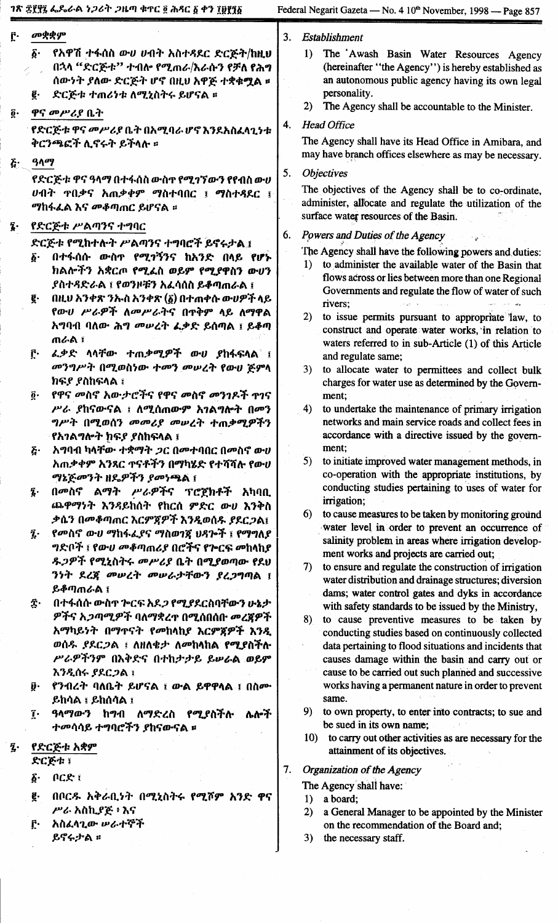| Ĉ٠                         | መቋቋም                                                                           | Establishment<br>3.                                                                                                  |
|----------------------------|--------------------------------------------------------------------------------|----------------------------------------------------------------------------------------------------------------------|
|                            | የአዋሽ ተፋሰስ ውሀ ሀብት አስተዳደር ድርጅት/ከዚሀ<br>δ.                                         | 1) The Awash Basin Water Resources Agency                                                                            |
|                            | በኋላ "ድርጅቱ" ተብሎ የሚጠራ/እራሱን የቻለ የሕግ                                               | (hereinafter "the Agency") is hereby established as                                                                  |
|                            | ሰውነት ያለው ድርጅት ሆኖ በዚህ አዋጅ ተቋቁሟል ።                                               | an autonomous public agency having its own legal                                                                     |
|                            | ድርጅቱ ተጠሪነቱ ለሚኒስትሩ ይሆናል ፡፡<br>ę.                                                | personality.                                                                                                         |
| $\overline{\mathbf{0}}$ .  | ዋና መሥሪያ ቤት                                                                     | The Agency shall be accountable to the Minister.<br><b>2</b> )                                                       |
|                            | የድርጅቱ ዋና መሥሪያ ቤት በአሚባራ ሆኖ እንደአስፈሳጊነቱ                                           | <b>Head Office</b><br>4.                                                                                             |
|                            | ቅርንጫፎች ሊኖሩት ይችላሉ ።                                                             | The Agency shall have its Head Office in Amibara, and                                                                |
| $\boldsymbol{\tilde{G}}$ . | ዓላማ                                                                            | may have branch offices elsewhere as may be necessary.                                                               |
|                            | የድርጅቱ ዋና ዓላማ በተፋሰስ ውስጥ የሚገኘውን የየብስ ውሀ                                          | 5.<br><i><b>Objectives</b></i>                                                                                       |
|                            | ሀብት <b>ዋበቃና አ</b> ጠቃቀም ማስተባበር ፤ ማስተዳደር ፤                                       | The objectives of the Agency shall be to co-ordinate,                                                                |
|                            | <i>ማ</i> ከፋፈል እና <i>መቆጣ</i> ጠር ይሆናል ፡፡                                         | administer, allocate and regulate the utilization of the                                                             |
| Ţ.                         | የድርጅቱ ሥልጣንና ተግባር                                                               | surface water resources of the Basin.                                                                                |
|                            |                                                                                | Powers and Duties of the Agency<br>6.                                                                                |
|                            | ድርጅቱ የሚከተሉት ሥልጣንና ተግባሮች ይኖሩታል ፤<br>በተፋሰሱ ውስኖ የሚገኝንና ከአንድ በላይ የሆኑ<br>$\delta$ . | The Agency shall have the following powers and duties:                                                               |
|                            | ክልሎችን አቋርጦ የሚፈስ ወይም የሚያዋስን ውሆን                                                 | to administer the available water of the Basin that<br>$\bf{D}$                                                      |
|                            | ያስተዳድራል ፣ የወንዞቹን አፈሳሰስ ይቆጣጠራል ፣                                                | flows across or lies between more than one Regional                                                                  |
|                            | በዚህ አንቀጽ ንኡስ አንቀጽ $(\bar{\mathfrak{g}})$ በተጠቀሱ ውሀዎች ላይ<br>g.                   | Governments and regulate the flow of water of such                                                                   |
|                            | የውሀ ሥራዎች ለመሥራትና በጥቅም ላይ ለማዋል                                                   | rivers;<br>2)<br>to issue permits pursuant to appropriate law, to                                                    |
|                            | አግባብ ባለው ሕግ መሠረት ፈቃድ ይሰጣል ፤ ይቆጣ                                                | construct and operate water works, in relation to                                                                    |
|                            | ጠራል ፤                                                                          | waters referred to in sub-Article (1) of this Article                                                                |
|                            | <i>ፌቃ</i> ድ ላላቸው ተጠ <i>ቃሚዎች ውሀ ያ</i> ከፋፍላል ፤<br>Ĉ٠                             | and regulate same;                                                                                                   |
|                            | መንግሥት በሚወስነው ተመን መሠረት የውሀ ጅምላ                                                  | 3)<br>to allocate water to permittees and collect bulk                                                               |
|                            | ክፍያ የስከፍላል ፣<br>የዋና መስኖ አውታሮችና የዋና መስኖ መንገዶች ተገና<br>$\vec{0}$ .                | charges for water use as determined by the Govern-<br>ment;                                                          |
|                            | ሥራ ያከናውናል ፤ ለሚሰጠውም አገልግሎት በመን                                                  | to undertake the maintenance of primary irrigation<br>4)                                                             |
|                            | ግሥት በሚወሰን መመሪያ መሠረት ተጠቃሚዎችን                                                    | networks and main service roads and collect fees in                                                                  |
|                            | የአገልግሎት ክፍያ ያስከፍላል ፤                                                           | accordance with a directive issued by the govern-                                                                    |
|                            | አግባብ ካላቸው ተቋማት ጋር በመተባበር በመስኖ ውሀ<br>ጅ.                                         | ment;                                                                                                                |
|                            | አጠቃቀም አንጻር ተናቶችን በማካሄድ የተሻሻሉ የውሀ                                               | 5)<br>to initiate improved water management methods, in                                                              |
|                            | <i>ማኔጅመንት ዘዴዎችን የመነጫ</i> ል ፤                                                   | co-operation with the appropriate institutions, by<br>conducting studies pertaining to uses of water for             |
|                            | በመስኖ ልማት ሥራዎችና ፕሮጀክቶች አካባቢ<br>$\tilde{\mathbf{z}}$ .                           | irrigation;                                                                                                          |
|                            | ጨዋማንት እንዳይከሰት የከርሰ ምድር ውሀ እንቅስ<br>ቃሴን በመቆጣጠር እርምጀዎች እንዲወሰዱ ያደርጋል፤              | to cause measures to be taken by monitoring ground<br>6)                                                             |
|                            | የመስኖ ውሀ ማከፋፌያና ማስወገጃ ህዳሎች ፤ የማግለያ<br>$\tilde{\mathbf{z}}$ .                    | water level in order to prevent an occurrence of                                                                     |
|                            | <i>ግ</i> ድቦች ፣ የው <i>ሀ መቆ</i> ጣጠሪያ በሮችና የጕርፍ መከላከያ                             | salinity problem in areas where irrigation develop-                                                                  |
|                            | <i>ዱጋዎች የሚኒ</i> ስትሩ <i>መሥሪያ</i> ቤት በሚያወጣው የደህ                                  | ment works and projects are carried out;                                                                             |
|                            | ንነት ደረጃ መሠረት መሠራታቸውን ያረጋግጣል ፤                                                  | to ensure and regulate the construction of irrigation<br>7)<br>water distribution and drainage structures; diversion |
|                            | ይቆጣጠራል ፤                                                                       | dams; water control gates and dyks in accordance                                                                     |
|                            | በተፋሰሱ ውስጥ ጕርፍ አደ <i>ጋ የሚያ</i> ደርስባቸውን ሁኔታ<br>$\hat{\mathbf{z}}$ .              | with safety standards to be issued by the Ministry,                                                                  |
|                            | ዎችና አ <i>ጋጣሚዎች</i> ባለማቋረ <u>ጥ</u> በሚሰበሰቡ መረጃዎች                                 | to cause preventive measures to be taken by<br>8)                                                                    |
|                            | አማካይነት በማተናት የመከላከያ እርምጃዎች እንዲ                                                 | conducting studies based on continuously collected                                                                   |
|                            | ወሰዱ ያደር <i>ጋ</i> ል ፣ ለዘለቄታ ለመከላከል የሚያስችሉ<br>ሥራዎችንም በእቅድና በተከታታይ ይሥራል ወይም       | data pertaining to flood situations and incidents that                                                               |
|                            | እንዲሰሩ ያደርጋል ፣                                                                  | causes damage within the basin and carry out or<br>cause to be carried out such planned and successive               |
|                            | የንብረት ባለቤት ይሆናል ፤ ውል ይዋዋላል ፤ በስሙ<br>ŷ.                                         | works having a permanent nature in order to prevent                                                                  |
|                            | ይከሳል ፣ ይከሰሳል ፣                                                                 | same.                                                                                                                |
|                            | $\mathbf{\tilde{i}}$<br><i>ዓላማውን</i> ከ <i>ግ</i> ብ ለማድረስ የሚያስችሉ<br>ሌሎች          | 9)<br>to own property, to enter into contracts; to sue and                                                           |
|                            | <i>ተመ</i> ሳሳይ ተግባሮችን ያከናውናል ፡፡                                                 | be sued in its own name;                                                                                             |
| ź.                         | የድርጅቱ አቋም                                                                      | 10) to carry out other activities as are necessary for the<br>attainment of its objectives.                          |
|                            | ድርጅቱ ፤                                                                         |                                                                                                                      |
|                            | በርድ ፤<br>$\vec{\delta}$ .                                                      | Organization of the Agency<br>7.                                                                                     |
|                            | በቦርዱ አቅራቢነት በሚኒስትሩ የሚሾም አንድ ዋና<br>g.                                           | The Agency shall have:<br>a board;<br>1)                                                                             |
|                            | ሥራ አስኪያጅ ፥ እና                                                                  | a General Manager to be appointed by the Minister<br>2)                                                              |
|                            | አስፈላጊው ሥራተኞች<br>ŗ٠                                                             | on the recommendation of the Board and;                                                                              |
|                            | ይኖሩታል ፡፡                                                                       | 3)<br>the necessary staff.                                                                                           |
|                            |                                                                                |                                                                                                                      |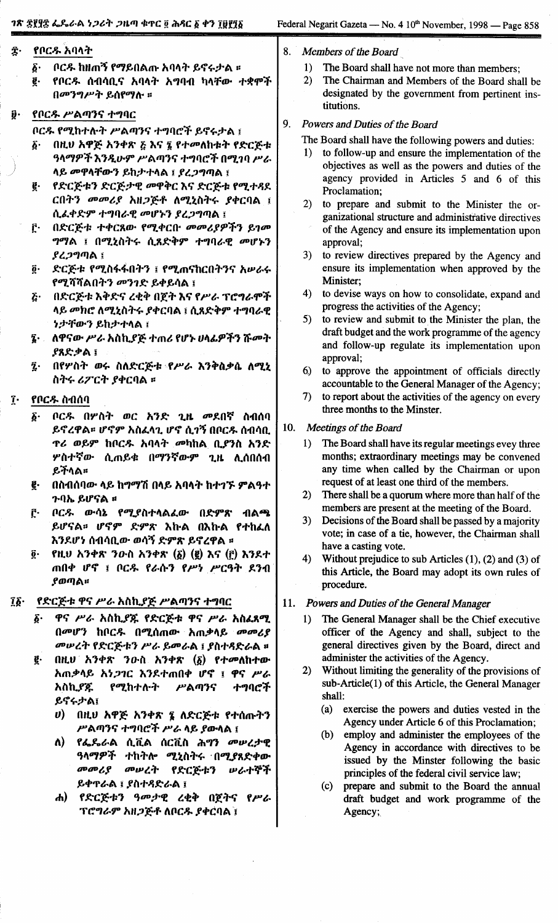## 1ጽ ፰፻፶፰ ፌጼራል ነ*ጋ*ሪት *ጋ*ዜጣ ቁጥር ፬ ሕጻር ፩ ቀን ፲፱፻፺፩

- 8. Members of the Board
	- $1)$ The Board shall have not more than members:
	- The Chairman and Members of the Board shall be  $2)$ designated by the government from pertinent institutions.

#### ŷ. የቦርዱ ሥልጣንና ተግባር

በመንግሥት ይሰየማሉ ።

የቦርዱ አባላት

Ĵ٠

 $\boldsymbol{\delta}$ 

ğ.

ቦርዱ የሚከተሉት ሥልጣንና ተግባሮች ይኖሩታል ፤

ቦርዱ ከዘጠኝ የማይበልጡ አባላት ይኖሩታል ፡፡

የቦርዱ ሰብሳቢና አባላት አግባብ ካላቸው ተቋሞች

- $\boldsymbol{\delta}$ በዚሀ አዋጅ አንቀጽ ጅ እና ፤ የተመለከቱት የድርጅቱ ዓላማዎች እንዲሁም ሥልጣንና ተግባሮች በሚገባ ሥራ ላይ መዋላቸውን ይከታተላል ፤ ያረጋግጣል ፤
- የድርጅቱን ድርጅታዊ መዋቅር እና ድርጅቱ የሚተዳደ g. ርበትን መመሪያ አዘጋጅቶ ለሚኒስትሩ ያቀርባል ፤ ሲፌቀድም ተግባራዊ መሆኑን ያረጋግጣል ፤
- $\mathbf{r}$ በድርጅቱ ተቀርጸው የሚቀርቡ መመሪያዎችን ይገመ ግማል ፤ በሚኒስትሩ ሲጸድቅም ተግባራዊ መሆኑን ያረጋግጣል ፤
- ድርጅቱ የሚስፋፋበትን ፤ የሚጠናከርበትንና አሥራሩ ğ٠ የሚሻሻልበትን መንገድ ይቀይሳል ፤
- ξ٠ በድርጅቱ እቅድና ረቂቅ በጀት እና የሥራ ፕሮግራሞች ላይ መክሮ ለሚኒስትሩ ያቀርባል ፤ ሲጸድቅም ተግባራዊ ንታቸውን ይከታተላል ፤
- ለዋናው ሥራ አስኪያጅ ተጠሪ የሆኑ ሀላፊዎችን ሹመት ያጸድቃል ፤
- በየሦስት ወሩ ስለድርጅቱ የሥራ እንቅስቃሴ ለሚኒ  $\tilde{a}$ . ስትሩ ሪፖርት ያቀርባል ፡፡

#### Ţ. የቦርዱ ስብሰባ

- ቦርዱ በሦስት ወር አንድ ጊዜ መደበኛ ስብሰባ  $\delta$ . ይኖረዋል። ሆኖም አስፈላጊ ሆኖ ሲገኝ በቦርዱ ሰብሳቢ *ፕሪ ወይም ከቦርዱ አባላት መካ*ከል ቢ*ያን*ስ አንድ **ሦስተኛው ሲ**ጠይቁ በማንኛውም ጊዜ ሊሰበሰብ ይችላል።
- በስብሰባው ላይ ከማማሽ በላይ አባላት ከተገኙ ምልዓተ ę. ጉባኤ ይሆናል **።**
- ŗ. ቦርዱ ውሳኔ የሚያስተላልፈው በድምጽ ብልጫ ይሆናል። ሆኖም ድምጽ እኩል በእኩል የተከፈለ እንደሆነ ሰብሳቢው ወሳኝ ድምጽ ይኖረዋል ፡፡
- $\overline{\mathbf{0}}$  .  $f(t)$  አንቀጽ ንውስ አንቀጽ  $(\delta)$  (ë) እና  $(f)$  እንደተ ጠበቀ ሆኖ ፤ ቦር*ዱ የራ*ሱን የሥነ ሥርዓት ደንብ ያወጣል።
- የድርጅቱ ዋና ሥራ አስኪያጅ ሥልጣንና ተግባር  $\tilde{a}$ 
	- ዋና ሥራ አስኪያጁ የድርጅቱ ዋና ሥራ አስፈጻሚ  $\boldsymbol{\delta}$  . በመሆን ከቦርዱ በሚሰጠው አጠቃላይ መመሪያ መሠረት የድርጅቱን ሥራ ይመራል ፤ ያስተዳድራል ።
	- በዚህ አንቀጽ ንውስ አንቀጽ (፩) የተመለከተው g. አጠቃላይ አነ*ጋገ*ር እንደተጠበቀ ሆኖ ፤ ዋና ሥራ የሚከተሉት አስኪያጁ ሥልጣንና ተግባሮች ይኖሩታል፤
		- $\boldsymbol{\theta}$ በዚህ አዋጅ አንቀጽ ፮ ለድርጅቱ የተሰጡትን ሥልጣንና ተግባሮች ሥራ ላይ ያውላል ፤
		- የፌጼራል ሲቪል ሰርቪስ ሕግን መሠረታዊ  $\mathbf{\Omega}$ ዓላማዎች ተከትሎ ሚኒስትሩ በሚያጸድቀው መመሪያ መሠረት የድርጅቱን ルムተኞች ይቀዋራል ፤ ያስተዳድራል ፤
		- የድርጅቱን ዓመታዊ ረቂቅ በጀትና ሐ) -የሥራ ፕሮግራም አዘጋጅቶ ለቦርዱ ያቀርባል ፤

 $\mathbf{Q}$ Powers and Duties of the Board

The Board shall have the following powers and duties:

- 1) to follow-up and ensure the implementation of the objectives as well as the powers and duties of the agency provided in Articles 5 and 6 of this Proclamation;
- 2) to prepare and submit to the Minister the organizational structure and administrative directives of the Agency and ensure its implementation upon approval:
- 3) to review directives prepared by the Agency and ensure its implementation when approved by the Minister:
- $4)$ to devise ways on how to consolidate, expand and progress the activities of the Agency;
- to review and submit to the Minister the plan, the  $5)$ draft budget and the work programme of the agency and follow-up regulate its implementation upon approval:
- $6)$ to approve the appointment of officials directly accountable to the General Manager of the Agency;
- $7)$ to report about the activities of the agency on every three months to the Minster.
- 10. Meetings of the Board
	- The Board shall have its regular meetings evey three  $\left\{ \right\}$ months; extraordinary meetings may be convened any time when called by the Chairman or upon request of at least one third of the members.
	- $2)$ There shall be a quorum where more than half of the members are present at the meeting of the Board.
	- $3)$ Decisions of the Board shall be passed by a majority vote; in case of a tie, however, the Chairman shall have a casting vote.
	- $4)$ Without prejudice to sub Articles  $(1)$ ,  $(2)$  and  $(3)$  of this Article, the Board may adopt its own rules of procedure.
- 11. Powers and Duties of the General Manager
	- The General Manager shall be the Chief executive  $1)$ officer of the Agency and shall, subject to the general directives given by the Board, direct and administer the activities of the Agency.
	- $2)$ Without limiting the generality of the provisions of sub-Article(1) of this Article, the General Manager shall:
		- $(a)$ exercise the powers and duties vested in the Agency under Article 6 of this Proclamation;
		- $(b)$ employ and administer the employees of the Agency in accordance with directives to be issued by the Minster following the basic principles of the federal civil service law;
		- prepare and submit to the Board the annual  $(c)$ draft budget and work programme of the Agency;